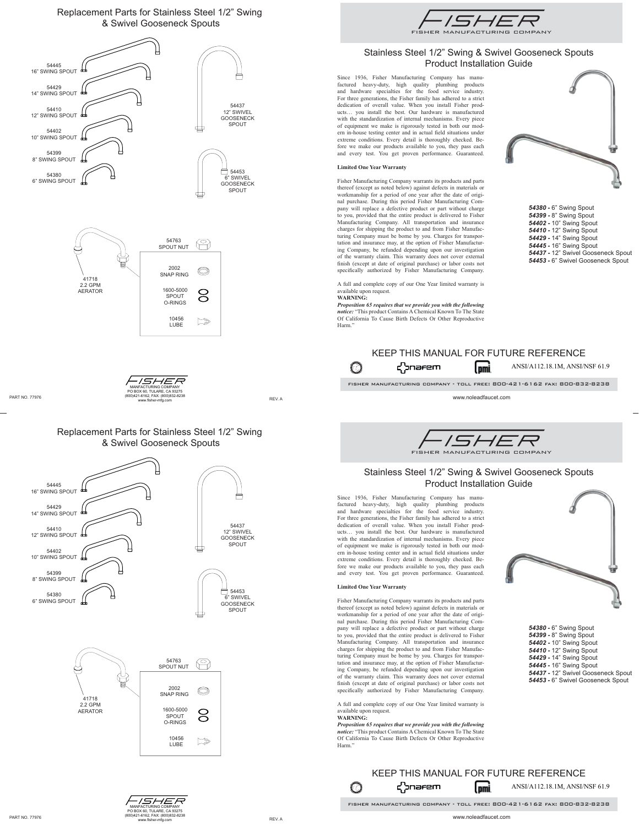## Replacement Parts for Stainless Steel 1/2" Swing & Swivel Gooseneck Spouts







## Replacement Parts for Stainless Steel 1/2" Swing & Swivel Gooseneck Spouts







# Stainless Steel 1/2" Swing & Swivel Gooseneck Spouts Product Installation Guide

Since 1936, Fisher Manufacturing Company has manufactured heavy-duty, high quality plumbing products<br>and hardware specialties for the food service industry.<br>For three generations, the Fisher family has adhered to a strict<br>dedication of overall value. When you install Fis ucts… you install the best. Our hardware is manufactured with the standardization of internal mechanisms. Every piece of equipment we make is rigorously tested in both our mod-<br>ern in-house testing center and in actual field situations under extreme conditions. Every detail is thoroughly checked. Be-fore we make our products available to you, they pass each and every test. You get proven performance. Guaranteed.

## **Limited One Year Warranty**

Fisher Manufacturing Company warrants its products and parts thereof (except as noted below) against defects in materials or workmanship for a period of one year after the date of origi-nal purchase. During this period Fisher Manufacturing Company will replace a defective product or part without charge to you, provided that the entire product is delivered to Fisher Manufacturing Company. All transportation and insurance charges for shipping the product to and from Fisher Manufac-turing Company must be borne by you. Charges for transpor-tation and insurance may, at the option of Fisher Manufacturing Company, be refunded depending upon our investigation of the warranty claim. This warranty does not cover external finish (except at date of original purchase) or labor costs not specifically authorized by Fisher Manufacturing Company.

A full and complete copy of our One Year limited warranty is available upon request.

## **WARNING:**

*Proposition 65 requires that we provide you with the following notice:* "This product Contains A Chemical Known To The State Of California To Cause Birth Defects Or Other Reproductive Harm."



*54380 -* 6" Swing Spout *54399 -* 8" Swing Spout *54402 -* 10" Swing Spout *54410 -* 12" Swing Spout *54429 -* 14" Swing Spout *54445 -* 16" Swing Spout *54437 -* 12" Swivel Gooseneck Spout *54453 -* 6" Swivel Gooseneck Spout

#### KEEP THIS MANUAL FOR FUTURE REFERENCE **Conarem** (pmi ANSI/A112.18.1M, ANSI/NSF 61.9  $\bigcirc$

fisher manufacturing company - toll free: 800-421-6162 fax: 800-832-8238

www.noleadfaucet.com



## Stainless Steel 1/2" Swing & Swivel Gooseneck Spouts Product Installation Guide

Since 1936, Fisher Manufacturing Company has manufactured heavy-duty, high quality plumbing products and hardware specialties for the food service industry.<br>For three generations, the Fisher family has adhered to a strict dedication of overall value. When you install Fisher prod-ucts… you install the best. Our hardware is manufactured with the standardization of internal mechanisms. Every piece of equipment we make is rigorously tested in both our modern in-house testing center and in actual field situations under extreme conditions. Every detail is thoroughly checked. Before we make our products available to you, they pass each and every test. You get proven performance. Guaranteed.

### **Limited One Year Warranty**

Fisher Manufacturing Company warrants its products and parts thereof (except as noted below) against defects in materials or workmanship for a period of one year after the date of original purchase. During this period Fisher Manufacturing Company will replace a defective product or part without charge to you, provided that the entire product is delivered to Fisher Manufacturing Company. All transportation and insurance charges for shipping the product to and from Fisher Manufac-turing Company must be borne by you. Charges for transportation and insurance may, at the option of Fisher Manufacturing Company, be refunded depending upon our investigation<br>of the warranty claim. This warranty does not cover external<br>finish (except at date of original purchase) or labor costs not specifically authorized by Fisher Manufacturing Company.

A full and complete copy of our One Year limited warranty is available upon request. **WARNING:**

*Proposition 65 requires that we provide you with the following notice:* "This product Contains A Chemical Known To The State Of California To Cause Birth Defects Or Other Reproductive Harm."



*54380 -* 6" Swing Spout *54399 -* 8" Swing Spout *54402 -* 10" Swing Spout *54410 -* 12" Swing Spout *54429 -* 14" Swing Spout *54445 -* 16" Swing Spout *54437 -* 12" Swivel Gooseneck Spout *54453 -* 6" Swivel Gooseneck Spout

#### KEEP THIS MANUAL FOR FUTURE REFERENCE ANSI/A112.18.1M, ANSI/NSF 61.9 ל}nafem (pmi  $\bigcirc$

fisher manufacturing company - toll free: 800-421-6162 fax: 800-832-8238

- ISHER MANFACTURING COMPANY PO BOX 60, TULARE, CA 93275 (800)421-6162, FAX: (800)832-8238 ouver interval and the course of the course of the course of the course of the course of the course of the cour<br>WWW.fisher-mfa.com www.fisher-mfg.com